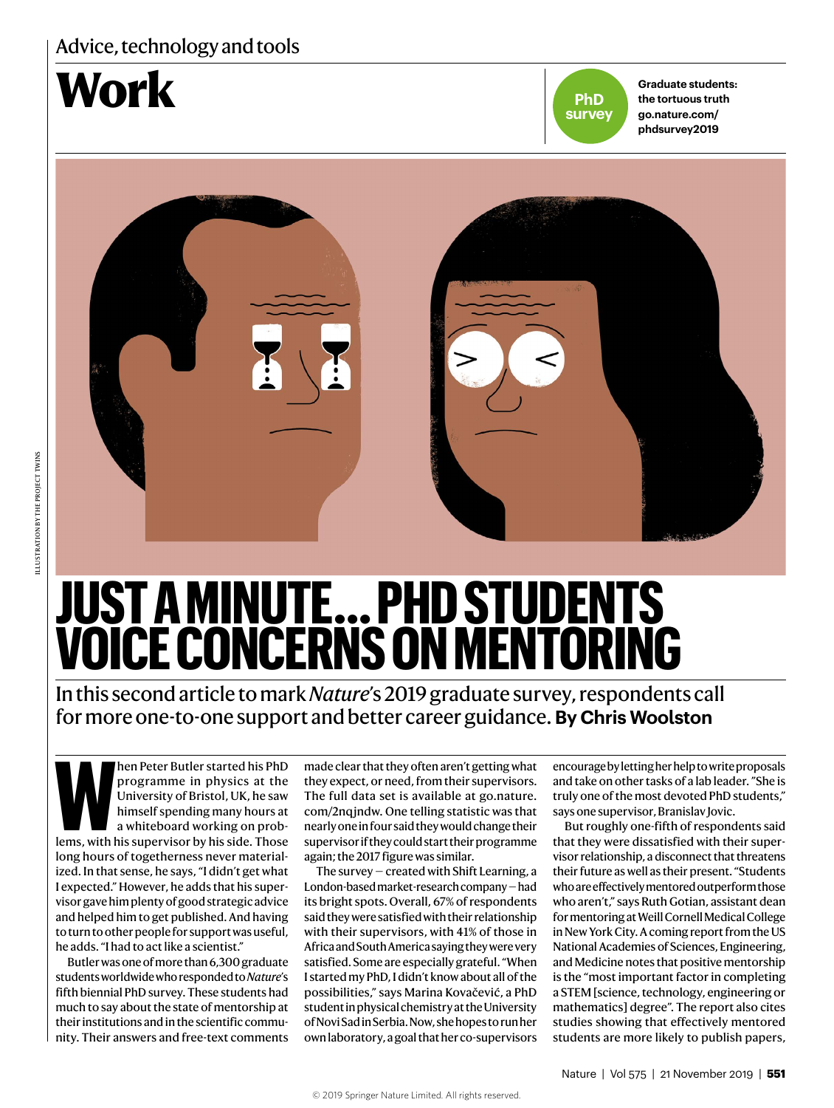## Advice, technology and tools





**Graduate students: the tortuous truth go.nature.com/ phdsurvey2019**



# **JUST A MINUTE … PHD STUDENTS VOICE CONCERNS ON MENTORING**

In this second article to mark *Nature*'s 2019 graduate survey, respondents call for more one-to-one support and better career guidance. **By Chris Woolston**

**When Peter Butler started his PhD**<br>programme in physics at the<br>University of Bristol, UK, he saw<br>himself spending many hours at<br>a whiteboard working on prob-<br>lems, with his supervisor by his side. Those programme in physics at the University of Bristol, UK, he saw himself spending many hours at a whiteboard working on problong hours of togetherness never materialized. In that sense, he says, "I didn't get what I expected." However, he adds that his supervisor gave him plenty of good strategic advice and helped him to get published. And having to turn to other people for support was useful, he adds. "I had to act like a scientist."

Butler was one of more than 6,300 graduate students worldwide who responded to *Nature*'s fifth biennial PhD survey. These students had much to say about the state of mentorship at their institutions and in the scientific community. Their answers and free-text comments made clear that they often aren't getting what they expect, or need, from their supervisors. The full data set is available at go.nature. com/2nqjndw. One telling statistic was that nearly one in four said they would change their supervisor if they could start their programme again; the 2017 figure was similar.

The survey — created with Shift Learning, a London-based market-research company — had its bright spots. Overall, 67% of respondents said they were satisfied with their relationship with their supervisors, with 41% of those in Africa and South America saying they were very satisfied. Some are especially grateful. "When I started my PhD, I didn't know about all of the possibilities," says Marina Kovačević, a PhD student in physical chemistry at the University of Novi Sad in Serbia. Now, she hopes to run her own laboratory, a goal that her co-supervisors encourage by letting her help to write proposals and take on other tasks of a lab leader. "She is truly one of the most devoted PhD students," says one supervisor, Branislav Jovic.

But roughly one-fifth of respondents said that they were dissatisfied with their supervisor relationship, a disconnect that threatens their future as well as their present. "Students who are effectively mentored outperform those who aren't," says Ruth Gotian, assistant dean for mentoring at Weill Cornell Medical College in New York City. A coming report from the US National Academies of Sciences, Engineering, and Medicine notes that positive mentorship is the "most important factor in completing a STEM [science, technology, engineering or mathematics] degree". The report also cites studies showing that effectively mentored students are more likely to publish papers,